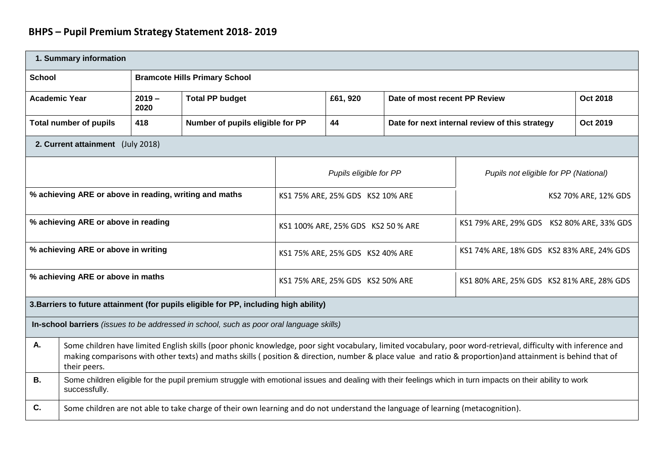| 1. Summary information                                 |                                                                                                                                                                                                                                                                                                                                              |                                                                                                                                                            |                                                                                          |                                  |                                           |                                       |                                                |                 |  |
|--------------------------------------------------------|----------------------------------------------------------------------------------------------------------------------------------------------------------------------------------------------------------------------------------------------------------------------------------------------------------------------------------------------|------------------------------------------------------------------------------------------------------------------------------------------------------------|------------------------------------------------------------------------------------------|----------------------------------|-------------------------------------------|---------------------------------------|------------------------------------------------|-----------------|--|
| <b>School</b>                                          | <b>Bramcote Hills Primary School</b>                                                                                                                                                                                                                                                                                                         |                                                                                                                                                            |                                                                                          |                                  |                                           |                                       |                                                |                 |  |
| <b>Academic Year</b>                                   |                                                                                                                                                                                                                                                                                                                                              | $2019 -$<br>2020                                                                                                                                           | <b>Total PP budget</b>                                                                   |                                  | £61, 920                                  | Date of most recent PP Review         |                                                | <b>Oct 2018</b> |  |
|                                                        | <b>Total number of pupils</b>                                                                                                                                                                                                                                                                                                                | 418                                                                                                                                                        | Number of pupils eligible for PP                                                         |                                  | 44                                        |                                       | Date for next internal review of this strategy | <b>Oct 2019</b> |  |
|                                                        | 2. Current attainment (July 2018)                                                                                                                                                                                                                                                                                                            |                                                                                                                                                            |                                                                                          |                                  |                                           |                                       |                                                |                 |  |
|                                                        |                                                                                                                                                                                                                                                                                                                                              |                                                                                                                                                            |                                                                                          | Pupils eligible for PP           |                                           | Pupils not eligible for PP (National) |                                                |                 |  |
| % achieving ARE or above in reading, writing and maths |                                                                                                                                                                                                                                                                                                                                              |                                                                                                                                                            | KS1 75% ARE, 25% GDS KS2 10% ARE                                                         |                                  | KS2 70% ARE, 12% GDS                      |                                       |                                                |                 |  |
| % achieving ARE or above in reading                    |                                                                                                                                                                                                                                                                                                                                              |                                                                                                                                                            | KS1 100% ARE, 25% GDS KS2 50 % ARE                                                       |                                  | KS1 79% ARE, 29% GDS KS2 80% ARE, 33% GDS |                                       |                                                |                 |  |
| % achieving ARE or above in writing                    |                                                                                                                                                                                                                                                                                                                                              |                                                                                                                                                            | KS1 75% ARE, 25% GDS KS2 40% ARE                                                         |                                  | KS1 74% ARE, 18% GDS KS2 83% ARE, 24% GDS |                                       |                                                |                 |  |
|                                                        | % achieving ARE or above in maths                                                                                                                                                                                                                                                                                                            |                                                                                                                                                            |                                                                                          | KS1 75% ARE, 25% GDS KS2 50% ARE |                                           |                                       | KS1 80% ARE, 25% GDS KS2 81% ARE, 28% GDS      |                 |  |
|                                                        |                                                                                                                                                                                                                                                                                                                                              |                                                                                                                                                            | 3. Barriers to future attainment (for pupils eligible for PP, including high ability)    |                                  |                                           |                                       |                                                |                 |  |
|                                                        |                                                                                                                                                                                                                                                                                                                                              |                                                                                                                                                            | In-school barriers (issues to be addressed in school, such as poor oral language skills) |                                  |                                           |                                       |                                                |                 |  |
| Α.                                                     | Some children have limited English skills (poor phonic knowledge, poor sight vocabulary, limited vocabulary, poor word-retrieval, difficulty with inference and<br>making comparisons with other texts) and maths skills (position & direction, number & place value and ratio & proportion)and attainment is behind that of<br>their peers. |                                                                                                                                                            |                                                                                          |                                  |                                           |                                       |                                                |                 |  |
| <b>B.</b>                                              | successfully.                                                                                                                                                                                                                                                                                                                                | Some children eligible for the pupil premium struggle with emotional issues and dealing with their feelings which in turn impacts on their ability to work |                                                                                          |                                  |                                           |                                       |                                                |                 |  |
| C.                                                     | Some children are not able to take charge of their own learning and do not understand the language of learning (metacognition).                                                                                                                                                                                                              |                                                                                                                                                            |                                                                                          |                                  |                                           |                                       |                                                |                 |  |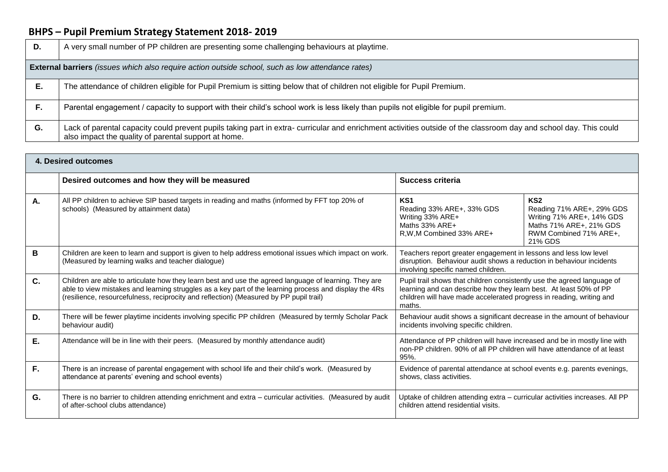| D. | A very small number of PP children are presenting some challenging behaviours at playtime.                                                                                                                                |  |  |  |  |  |
|----|---------------------------------------------------------------------------------------------------------------------------------------------------------------------------------------------------------------------------|--|--|--|--|--|
|    | <b>External barriers</b> (issues which also require action outside school, such as low attendance rates)                                                                                                                  |  |  |  |  |  |
| Е. | The attendance of children eligible for Pupil Premium is sitting below that of children not eligible for Pupil Premium.                                                                                                   |  |  |  |  |  |
| F. | Parental engagement / capacity to support with their child's school work is less likely than pupils not eligible for pupil premium.                                                                                       |  |  |  |  |  |
| G. | Lack of parental capacity could prevent pupils taking part in extra- curricular and enrichment activities outside of the classroom day and school day. This could<br>also impact the quality of parental support at home. |  |  |  |  |  |

| 4. Desired outcomes |                                                                                                                                                                                                                                                                                                           |                                                                                                                                                                                                                                                              |  |  |  |
|---------------------|-----------------------------------------------------------------------------------------------------------------------------------------------------------------------------------------------------------------------------------------------------------------------------------------------------------|--------------------------------------------------------------------------------------------------------------------------------------------------------------------------------------------------------------------------------------------------------------|--|--|--|
|                     | Desired outcomes and how they will be measured                                                                                                                                                                                                                                                            | <b>Success criteria</b>                                                                                                                                                                                                                                      |  |  |  |
| Α.                  | All PP children to achieve SIP based targets in reading and maths (informed by FFT top 20% of<br>schools) (Measured by attainment data)                                                                                                                                                                   | KS <sub>1</sub><br>KS <sub>2</sub><br>Reading 33% ARE+, 33% GDS<br>Reading 71% ARE+, 29% GDS<br>Writing 71% ARE+, 14% GDS<br>Writing 33% ARE+<br>Maths 71% ARE+, 21% GDS<br>Maths 33% ARE+<br>R, W, M Combined 33% ARE+<br>RWM Combined 71% ARE+,<br>21% GDS |  |  |  |
| в                   | Children are keen to learn and support is given to help address emotional issues which impact on work.<br>(Measured by learning walks and teacher dialogue)                                                                                                                                               | Teachers report greater engagement in lessons and less low level<br>disruption. Behaviour audit shows a reduction in behaviour incidents<br>involving specific named children.                                                                               |  |  |  |
| $C_{1}$             | Children are able to articulate how they learn best and use the agreed language of learning. They are<br>able to view mistakes and learning struggles as a key part of the learning process and display the 4Rs<br>(resilience, resourcefulness, reciprocity and reflection) (Measured by PP pupil trail) | Pupil trail shows that children consistently use the agreed language of<br>learning and can describe how they learn best. At least 50% of PP<br>children will have made accelerated progress in reading, writing and<br>maths.                               |  |  |  |
| D.                  | There will be fewer playtime incidents involving specific PP children (Measured by termly Scholar Pack<br>behaviour audit)                                                                                                                                                                                | Behaviour audit shows a significant decrease in the amount of behaviour<br>incidents involving specific children.                                                                                                                                            |  |  |  |
| E.                  | Attendance will be in line with their peers. (Measured by monthly attendance audit)                                                                                                                                                                                                                       | Attendance of PP children will have increased and be in mostly line with<br>non-PP children. 90% of all PP children will have attendance of at least<br>95%.                                                                                                 |  |  |  |
| F.                  | There is an increase of parental engagement with school life and their child's work. (Measured by<br>attendance at parents' evening and school events)                                                                                                                                                    | Evidence of parental attendance at school events e.g. parents evenings,<br>shows, class activities.                                                                                                                                                          |  |  |  |
| G.                  | There is no barrier to children attending enrichment and extra - curricular activities. (Measured by audit<br>of after-school clubs attendance)                                                                                                                                                           | Uptake of children attending extra - curricular activities increases. All PP<br>children attend residential visits.                                                                                                                                          |  |  |  |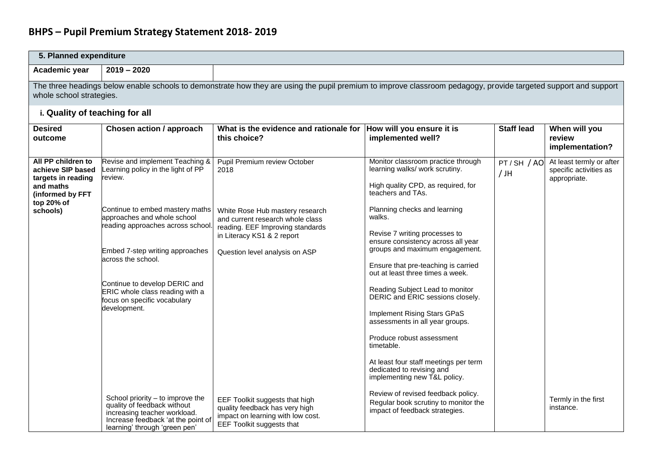| 5. Planned expenditure                                                                                       |                                                                                                                                                                                             |                                                                                                                                                                         |                                                                                                                                                                                                                                                                                        |                      |                                                                    |  |  |  |  |
|--------------------------------------------------------------------------------------------------------------|---------------------------------------------------------------------------------------------------------------------------------------------------------------------------------------------|-------------------------------------------------------------------------------------------------------------------------------------------------------------------------|----------------------------------------------------------------------------------------------------------------------------------------------------------------------------------------------------------------------------------------------------------------------------------------|----------------------|--------------------------------------------------------------------|--|--|--|--|
| Academic year                                                                                                | $2019 - 2020$                                                                                                                                                                               |                                                                                                                                                                         |                                                                                                                                                                                                                                                                                        |                      |                                                                    |  |  |  |  |
|                                                                                                              | The three headings below enable schools to demonstrate how they are using the pupil premium to improve classroom pedagogy, provide targeted support and support<br>whole school strategies. |                                                                                                                                                                         |                                                                                                                                                                                                                                                                                        |                      |                                                                    |  |  |  |  |
| i. Quality of teaching for all                                                                               |                                                                                                                                                                                             |                                                                                                                                                                         |                                                                                                                                                                                                                                                                                        |                      |                                                                    |  |  |  |  |
| <b>Desired</b><br>outcome                                                                                    | Chosen action / approach                                                                                                                                                                    | What is the evidence and rationale for  How will you ensure it is<br>this choice?                                                                                       | implemented well?                                                                                                                                                                                                                                                                      | <b>Staff lead</b>    | When will you<br>review<br>implementation?                         |  |  |  |  |
| All PP children to<br>achieve SIP based<br>targets in reading<br>and maths<br>(informed by FFT<br>top 20% of | Revise and implement Teaching &<br>earning policy in the light of PP<br>review.                                                                                                             | Pupil Premium review October<br>2018                                                                                                                                    | Monitor classroom practice through<br>learning walks/ work scrutiny.<br>High quality CPD, as required, for<br>teachers and TAs.                                                                                                                                                        | PT/SH / AO<br>$/$ JH | At least termly or after<br>specific activities as<br>appropriate. |  |  |  |  |
| schools)                                                                                                     | Continue to embed mastery maths<br>approaches and whole school<br>reading approaches across school.<br>Embed 7-step writing approaches<br>across the school.                                | White Rose Hub mastery research<br>and current research whole class<br>reading. EEF Improving standards<br>in Literacy KS1 & 2 report<br>Question level analysis on ASP | Planning checks and learning<br>walks.<br>Revise 7 writing processes to<br>ensure consistency across all year<br>groups and maximum engagement.<br>Ensure that pre-teaching is carried<br>out at least three times a week.                                                             |                      |                                                                    |  |  |  |  |
|                                                                                                              | Continue to develop DERIC and<br>ERIC whole class reading with a<br>focus on specific vocabulary<br>development.                                                                            |                                                                                                                                                                         | Reading Subject Lead to monitor<br>DERIC and ERIC sessions closely.<br>Implement Rising Stars GPaS<br>assessments in all year groups.<br>Produce robust assessment<br>timetable.<br>At least four staff meetings per term<br>dedicated to revising and<br>implementing new T&L policy. |                      |                                                                    |  |  |  |  |
|                                                                                                              | School priority - to improve the<br>quality of feedback without<br>increasing teacher workload.<br>Increase feedback 'at the point of<br>learning' through 'green pen'                      | EEF Toolkit suggests that high<br>quality feedback has very high<br>impact on learning with low cost.<br>EEF Toolkit suggests that                                      | Review of revised feedback policy.<br>Regular book scrutiny to monitor the<br>impact of feedback strategies.                                                                                                                                                                           |                      | Termly in the first<br>instance.                                   |  |  |  |  |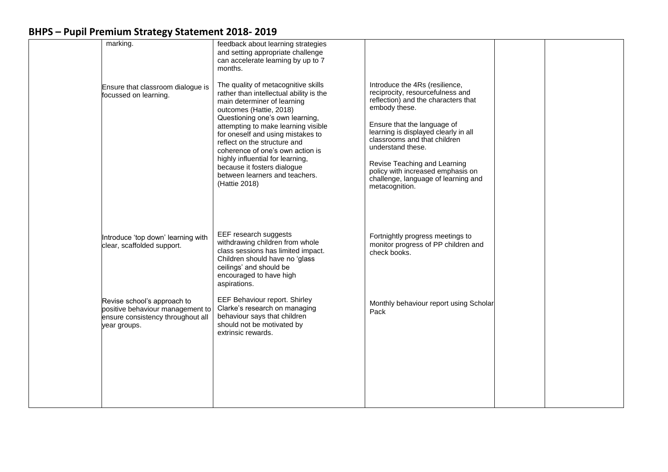| marking.<br>Ensure that classroom dialogue is<br>focussed on learning.                                               | feedback about learning strategies<br>and setting appropriate challenge<br>can accelerate learning by up to 7<br>months.<br>The quality of metacognitive skills<br>rather than intellectual ability is the<br>main determiner of learning<br>outcomes (Hattie, 2018)                                  | Introduce the 4Rs (resilience,<br>reciprocity, resourcefulness and<br>reflection) and the characters that<br>embody these.                                                                                                                             |  |
|----------------------------------------------------------------------------------------------------------------------|-------------------------------------------------------------------------------------------------------------------------------------------------------------------------------------------------------------------------------------------------------------------------------------------------------|--------------------------------------------------------------------------------------------------------------------------------------------------------------------------------------------------------------------------------------------------------|--|
|                                                                                                                      | Questioning one's own learning,<br>attempting to make learning visible<br>for oneself and using mistakes to<br>reflect on the structure and<br>coherence of one's own action is<br>highly influential for learning,<br>because it fosters dialogue<br>between learners and teachers.<br>(Hattie 2018) | Ensure that the language of<br>learning is displayed clearly in all<br>classrooms and that children<br>understand these.<br>Revise Teaching and Learning<br>policy with increased emphasis on<br>challenge, language of learning and<br>metacognition. |  |
| Introduce 'top down' learning with<br>clear, scaffolded support.                                                     | EEF research suggests<br>withdrawing children from whole<br>class sessions has limited impact.<br>Children should have no 'glass<br>ceilings' and should be<br>encouraged to have high<br>aspirations.                                                                                                | Fortnightly progress meetings to<br>monitor progress of PP children and<br>check books.                                                                                                                                                                |  |
| Revise school's approach to<br>positive behaviour management to<br>ensure consistency throughout all<br>year groups. | EEF Behaviour report. Shirley<br>Clarke's research on managing<br>behaviour says that children<br>should not be motivated by<br>extrinsic rewards.                                                                                                                                                    | Monthly behaviour report using Scholar<br>Pack                                                                                                                                                                                                         |  |
|                                                                                                                      |                                                                                                                                                                                                                                                                                                       |                                                                                                                                                                                                                                                        |  |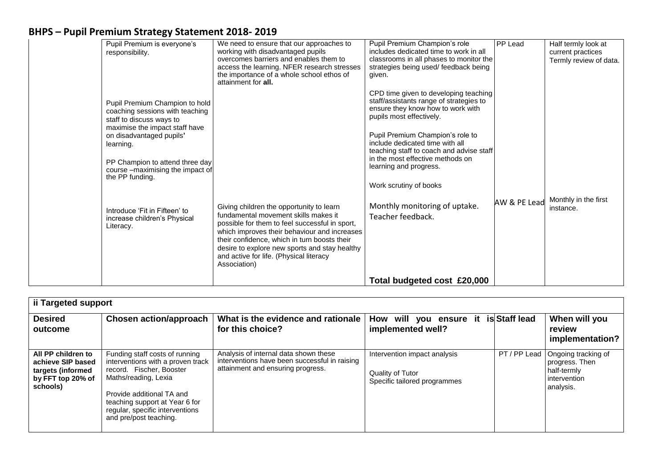| Pupil Premium is everyone's<br>responsibility.                                                                                                                                                                                                                     | We need to ensure that our approaches to<br>working with disadvantaged pupils<br>overcomes barriers and enables them to<br>access the learning. NFER research stresses<br>the importance of a whole school ethos of<br>attainment for all. | Pupil Premium Champion's role<br>includes dedicated time to work in all<br>classrooms in all phases to monitor the<br>strategies being used/feedback being<br>given.                                                                                                                                                               | PP Lead      | Half termly look at<br>current practices<br>Termly review of data. |
|--------------------------------------------------------------------------------------------------------------------------------------------------------------------------------------------------------------------------------------------------------------------|--------------------------------------------------------------------------------------------------------------------------------------------------------------------------------------------------------------------------------------------|------------------------------------------------------------------------------------------------------------------------------------------------------------------------------------------------------------------------------------------------------------------------------------------------------------------------------------|--------------|--------------------------------------------------------------------|
| Pupil Premium Champion to hold<br>coaching sessions with teaching<br>staff to discuss ways to<br>maximise the impact staff have<br>on disadvantaged pupils'<br>learning.<br>PP Champion to attend three day<br>course -maximising the impact of<br>the PP funding. |                                                                                                                                                                                                                                            | CPD time given to developing teaching<br>staff/assistants range of strategies to<br>ensure they know how to work with<br>pupils most effectively.<br>Pupil Premium Champion's role to<br>include dedicated time with all<br>teaching staff to coach and advise staff<br>in the most effective methods on<br>learning and progress. |              |                                                                    |
| Introduce 'Fit in Fifteen' to<br>increase children's Physical<br>Literacy.                                                                                                                                                                                         | Giving children the opportunity to learn<br>fundamental movement skills makes it<br>possible for them to feel successful in sport,<br>which improves their behaviour and increases<br>their confidence, which in turn boosts their         | Work scrutiny of books<br>Monthly monitoring of uptake.<br>Teacher feedback.                                                                                                                                                                                                                                                       | AW & PE Lead | Monthly in the first<br>instance.                                  |
|                                                                                                                                                                                                                                                                    | desire to explore new sports and stay healthy<br>and active for life. (Physical literacy<br>Association)                                                                                                                                   | Total budgeted cost £20,000                                                                                                                                                                                                                                                                                                        |              |                                                                    |

| ii Targeted support                                                                           |                                                                                                                                                                                                                                                     |                                                                                                                             |                                                                                  |               |                                                                                   |  |
|-----------------------------------------------------------------------------------------------|-----------------------------------------------------------------------------------------------------------------------------------------------------------------------------------------------------------------------------------------------------|-----------------------------------------------------------------------------------------------------------------------------|----------------------------------------------------------------------------------|---------------|-----------------------------------------------------------------------------------|--|
| <b>Desired</b><br>outcome                                                                     | <b>Chosen action/approach</b>                                                                                                                                                                                                                       | What is the evidence and rationale<br>for this choice?                                                                      | How will you ensure it<br>implemented well?                                      | is Staff lead | When will you<br>review<br>implementation?                                        |  |
| All PP children to<br>achieve SIP based<br>targets (informed<br>by FFT top 20% of<br>schools) | Funding staff costs of running<br>interventions with a proven track<br>record. Fischer, Booster<br>Maths/reading, Lexia<br>Provide additional TA and<br>teaching support at Year 6 for<br>regular, specific interventions<br>and pre/post teaching. | Analysis of internal data shown these<br>interventions have been successful in raising<br>attainment and ensuring progress. | Intervention impact analysis<br>Quality of Tutor<br>Specific tailored programmes | PT / PP Lead  | Ongoing tracking of<br>progress. Then<br>half-termly<br>intervention<br>analysis. |  |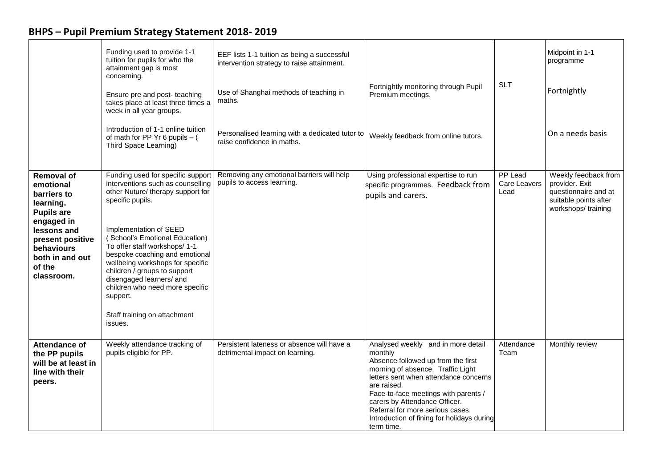| <b>BHPS – Pupil Premium Strategy Statement 2018-2019</b> |  |  |  |  |
|----------------------------------------------------------|--|--|--|--|
|----------------------------------------------------------|--|--|--|--|

|                                                                                                                                                                                           | Funding used to provide 1-1<br>tuition for pupils for who the<br>attainment gap is most<br>concerning.<br>Ensure pre and post- teaching<br>takes place at least three times a<br>week in all year groups.<br>Introduction of 1-1 online tuition<br>of math for PP Yr 6 pupils $-$ (<br>Third Space Learning)                                                                                                                                             | EEF lists 1-1 tuition as being a successful<br>intervention strategy to raise attainment.<br>Use of Shanghai methods of teaching in<br>maths.<br>Personalised learning with a dedicated tutor to<br>raise confidence in maths. | Fortnightly monitoring through Pupil<br>Premium meetings.<br>Weekly feedback from online tutors.                                                                                                                                                                                                                                                          | <b>SLT</b>                      | Midpoint in 1-1<br>programme<br>Fortnightly<br>On a needs basis                                               |
|-------------------------------------------------------------------------------------------------------------------------------------------------------------------------------------------|----------------------------------------------------------------------------------------------------------------------------------------------------------------------------------------------------------------------------------------------------------------------------------------------------------------------------------------------------------------------------------------------------------------------------------------------------------|--------------------------------------------------------------------------------------------------------------------------------------------------------------------------------------------------------------------------------|-----------------------------------------------------------------------------------------------------------------------------------------------------------------------------------------------------------------------------------------------------------------------------------------------------------------------------------------------------------|---------------------------------|---------------------------------------------------------------------------------------------------------------|
| <b>Removal of</b><br>emotional<br>barriers to<br>learning.<br><b>Pupils are</b><br>engaged in<br>lessons and<br>present positive<br>behaviours<br>both in and out<br>of the<br>classroom. | Funding used for specific support<br>interventions such as counselling<br>other Nuture/ therapy support for<br>specific pupils.<br>Implementation of SEED<br>(School's Emotional Education)<br>To offer staff workshops/ 1-1<br>bespoke coaching and emotional<br>wellbeing workshops for specific<br>children / groups to support<br>disengaged learners/ and<br>children who need more specific<br>support.<br>Staff training on attachment<br>issues. | Removing any emotional barriers will help<br>pupils to access learning.                                                                                                                                                        | Using professional expertise to run<br>specific programmes. Feedback from<br>pupils and carers.                                                                                                                                                                                                                                                           | PP Lead<br>Care Leavers<br>Lead | Weekly feedback from<br>provider. Exit<br>questionnaire and at<br>suitable points after<br>workshops/training |
| Attendance of<br>the PP pupils<br>will be at least in<br>line with their<br>peers.                                                                                                        | Weekly attendance tracking of<br>pupils eligible for PP.                                                                                                                                                                                                                                                                                                                                                                                                 | Persistent lateness or absence will have a<br>detrimental impact on learning.                                                                                                                                                  | Analysed weekly and in more detail<br>monthly<br>Absence followed up from the first<br>morning of absence. Traffic Light<br>letters sent when attendance concerns<br>are raised.<br>Face-to-face meetings with parents /<br>carers by Attendance Officer.<br>Referral for more serious cases.<br>Introduction of fining for holidays during<br>term time. | Attendance<br>Team              | Monthly review                                                                                                |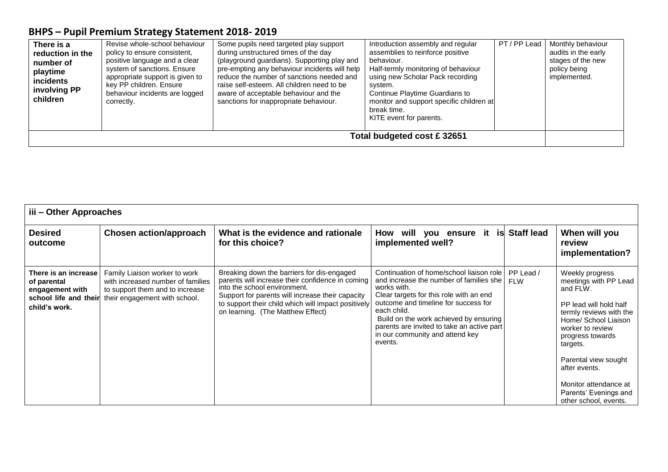| There is a<br>reduction in the<br>number of<br>playtime<br><b>incidents</b><br>involving PP<br>children | Revise whole-school behaviour<br>policy to ensure consistent,<br>positive language and a clear<br>system of sanctions. Ensure<br>appropriate support is given to<br>key PP children. Ensure<br>behaviour incidents are logged<br>correctly. | Some pupils need targeted play support<br>during unstructured times of the day<br>(playground guardians). Supporting play and<br>pre-empting any behaviour incidents will help<br>reduce the number of sanctions needed and<br>raise self-esteem. All children need to be<br>aware of acceptable behaviour and the<br>sanctions for inappropriate behaviour. | Introduction assembly and regular<br>assemblies to reinforce positive<br>behaviour.<br>Half-termly monitoring of behaviour<br>using new Scholar Pack recording<br>system.<br>Continue Playtime Guardians to<br>monitor and support specific children at<br>break time.<br>KITE event for parents. | PT/PP Lead | Monthly behaviour<br>audits in the early<br>stages of the new<br>policy being<br>implemented. |
|---------------------------------------------------------------------------------------------------------|---------------------------------------------------------------------------------------------------------------------------------------------------------------------------------------------------------------------------------------------|--------------------------------------------------------------------------------------------------------------------------------------------------------------------------------------------------------------------------------------------------------------------------------------------------------------------------------------------------------------|---------------------------------------------------------------------------------------------------------------------------------------------------------------------------------------------------------------------------------------------------------------------------------------------------|------------|-----------------------------------------------------------------------------------------------|
| Total budgeted cost £ 32651                                                                             |                                                                                                                                                                                                                                             |                                                                                                                                                                                                                                                                                                                                                              |                                                                                                                                                                                                                                                                                                   |            |                                                                                               |

| iii - Other Approaches                                                                           |                                                                                                                                        |                                                                                                                                                                                                                                                                                |                                                                                                                                                                                                                                                                                                                                            |                         |                                                                                                                                                                                                                                                                                                           |  |
|--------------------------------------------------------------------------------------------------|----------------------------------------------------------------------------------------------------------------------------------------|--------------------------------------------------------------------------------------------------------------------------------------------------------------------------------------------------------------------------------------------------------------------------------|--------------------------------------------------------------------------------------------------------------------------------------------------------------------------------------------------------------------------------------------------------------------------------------------------------------------------------------------|-------------------------|-----------------------------------------------------------------------------------------------------------------------------------------------------------------------------------------------------------------------------------------------------------------------------------------------------------|--|
| <b>Desired</b><br>outcome                                                                        | Chosen action/approach                                                                                                                 | What is the evidence and rationale<br>for this choice?                                                                                                                                                                                                                         | How will you ensure<br>implemented well?                                                                                                                                                                                                                                                                                                   | it is Staff lead        | When will you<br>review<br>implementation?                                                                                                                                                                                                                                                                |  |
| There is an increase<br>of parental<br>engagement with<br>school life and their<br>child's work. | Family Liaison worker to work<br>with increased number of families<br>to support them and to increase<br>their engagement with school. | Breaking down the barriers for dis-engaged<br>parents will increase their confidence in coming<br>into the school environment.<br>Support for parents will increase their capacity<br>to support their child which will impact positively<br>on learning. (The Matthew Effect) | Continuation of home/school liaison role<br>and increase the number of families she<br>works with.<br>Clear targets for this role with an end<br>outcome and timeline for success for<br>each child.<br>Build on the work achieved by ensuring<br>parents are invited to take an active part<br>in our community and attend key<br>events. | PP Lead /<br><b>FLW</b> | Weekly progress<br>meetings with PP Lead<br>and FLW.<br>PP lead will hold half<br>termly reviews with the<br>Home/ School Liaison<br>worker to review<br>progress towards<br>targets.<br>Parental view sought<br>after events.<br>Monitor attendance at<br>Parents' Evenings and<br>other school, events. |  |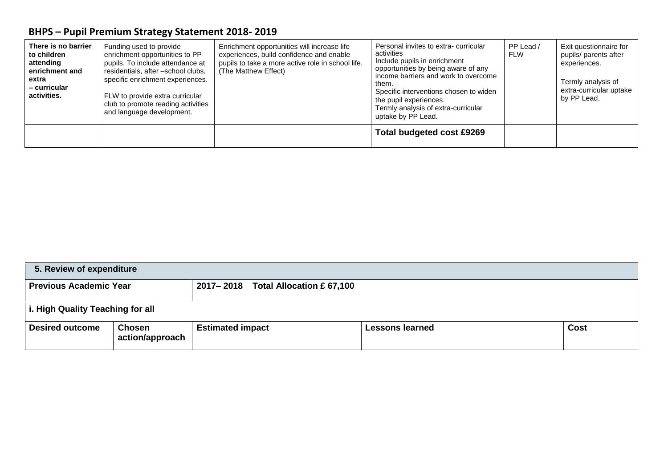| There is no barrier<br>to children<br>attending<br>enrichment and<br>extra<br>- curricular<br>activities. | Funding used to provide<br>enrichment opportunities to PP<br>pupils. To include attendance at<br>residentials, after -school clubs,<br>specific enrichment experiences.<br>FLW to provide extra curricular<br>club to promote reading activities<br>and language development. | Enrichment opportunities will increase life<br>experiences, build confidence and enable<br>pupils to take a more active role in school life.<br>(The Matthew Effect) | Personal invites to extra-curricular<br>activities<br>Include pupils in enrichment<br>opportunities by being aware of any<br>income barriers and work to overcome<br>them.<br>Specific interventions chosen to widen<br>the pupil experiences.<br>Termly analysis of extra-curricular<br>uptake by PP Lead. | PP Lead /<br>FLW | Exit questionnaire for<br>pupils/ parents after<br>experiences.<br>Termly analysis of<br>extra-curricular uptake<br>by PP Lead. |
|-----------------------------------------------------------------------------------------------------------|-------------------------------------------------------------------------------------------------------------------------------------------------------------------------------------------------------------------------------------------------------------------------------|----------------------------------------------------------------------------------------------------------------------------------------------------------------------|-------------------------------------------------------------------------------------------------------------------------------------------------------------------------------------------------------------------------------------------------------------------------------------------------------------|------------------|---------------------------------------------------------------------------------------------------------------------------------|
|                                                                                                           |                                                                                                                                                                                                                                                                               |                                                                                                                                                                      | Total budgeted cost £9269                                                                                                                                                                                                                                                                                   |                  |                                                                                                                                 |

| 5. Review of expenditure         |                                  |                                     |                        |             |
|----------------------------------|----------------------------------|-------------------------------------|------------------------|-------------|
| <b>Previous Academic Year</b>    |                                  | 2017-2018 Total Allocation £ 67,100 |                        |             |
| i. High Quality Teaching for all |                                  |                                     |                        |             |
| <b>Desired outcome</b>           | <b>Chosen</b><br>action/approach | <b>Estimated impact</b>             | <b>Lessons learned</b> | <b>Cost</b> |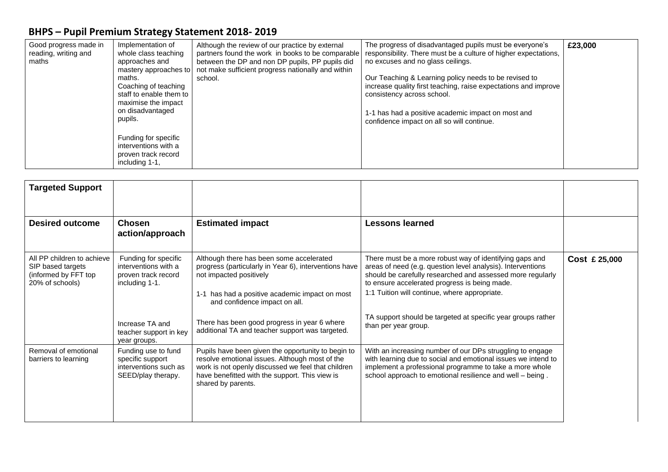| Good progress made in<br>Implementation of<br>reading, writing and<br>whole class teaching<br>approaches and<br>maths<br>mastery approaches to<br>maths.<br>Coaching of teaching<br>staff to enable them to<br>maximise the impact<br>on disadvantaged<br>pupils.<br>Funding for specific<br>interventions with a<br>proven track record<br>including 1-1. | Although the review of our practice by external<br>partners found the work in books to be comparable<br>between the DP and non DP pupils, PP pupils did<br>not make sufficient progress nationally and within<br>school. | The progress of disadvantaged pupils must be everyone's<br>responsibility. There must be a culture of higher expectations,<br>no excuses and no glass ceilings.<br>Our Teaching & Learning policy needs to be revised to<br>increase quality first teaching, raise expectations and improve<br>consistency across school.<br>1-1 has had a positive academic impact on most and<br>confidence impact on all so will continue. | £23,000 |
|------------------------------------------------------------------------------------------------------------------------------------------------------------------------------------------------------------------------------------------------------------------------------------------------------------------------------------------------------------|--------------------------------------------------------------------------------------------------------------------------------------------------------------------------------------------------------------------------|-------------------------------------------------------------------------------------------------------------------------------------------------------------------------------------------------------------------------------------------------------------------------------------------------------------------------------------------------------------------------------------------------------------------------------|---------|
|------------------------------------------------------------------------------------------------------------------------------------------------------------------------------------------------------------------------------------------------------------------------------------------------------------------------------------------------------------|--------------------------------------------------------------------------------------------------------------------------------------------------------------------------------------------------------------------------|-------------------------------------------------------------------------------------------------------------------------------------------------------------------------------------------------------------------------------------------------------------------------------------------------------------------------------------------------------------------------------------------------------------------------------|---------|

| <b>Targeted Support</b>                                                                    |                                                                                        |                                                                                                                                                                                                                                    |                                                                                                                                                                                                                                                                                        |               |
|--------------------------------------------------------------------------------------------|----------------------------------------------------------------------------------------|------------------------------------------------------------------------------------------------------------------------------------------------------------------------------------------------------------------------------------|----------------------------------------------------------------------------------------------------------------------------------------------------------------------------------------------------------------------------------------------------------------------------------------|---------------|
| <b>Desired outcome</b>                                                                     | <b>Chosen</b><br>action/approach                                                       | <b>Estimated impact</b>                                                                                                                                                                                                            | <b>Lessons learned</b>                                                                                                                                                                                                                                                                 |               |
| All PP children to achieve<br>SIP based targets<br>(informed by FFT top<br>20% of schools) | Funding for specific<br>interventions with a<br>proven track record<br>including 1-1.  | Although there has been some accelerated<br>progress (particularly in Year 6), interventions have<br>not impacted positively<br>has had a positive academic impact on most<br>$1 - 1$<br>and confidence impact on all.             | There must be a more robust way of identifying gaps and<br>areas of need (e.g. question level analysis). Interventions<br>should be carefully researched and assessed more regularly<br>to ensure accelerated progress is being made.<br>1:1 Tuition will continue, where appropriate. | Cost £ 25,000 |
|                                                                                            | Increase TA and<br>teacher support in key<br>year groups.                              | There has been good progress in year 6 where<br>additional TA and teacher support was targeted.                                                                                                                                    | TA support should be targeted at specific year groups rather<br>than per year group.                                                                                                                                                                                                   |               |
| Removal of emotional<br>barriers to learning                                               | Funding use to fund<br>specific support<br>interventions such as<br>SEED/play therapy. | Pupils have been given the opportunity to begin to<br>resolve emotional issues. Although most of the<br>work is not openly discussed we feel that children<br>have benefitted with the support. This view is<br>shared by parents. | With an increasing number of our DPs struggling to engage<br>with learning due to social and emotional issues we intend to<br>implement a professional programme to take a more whole<br>school approach to emotional resilience and well - being.                                     |               |